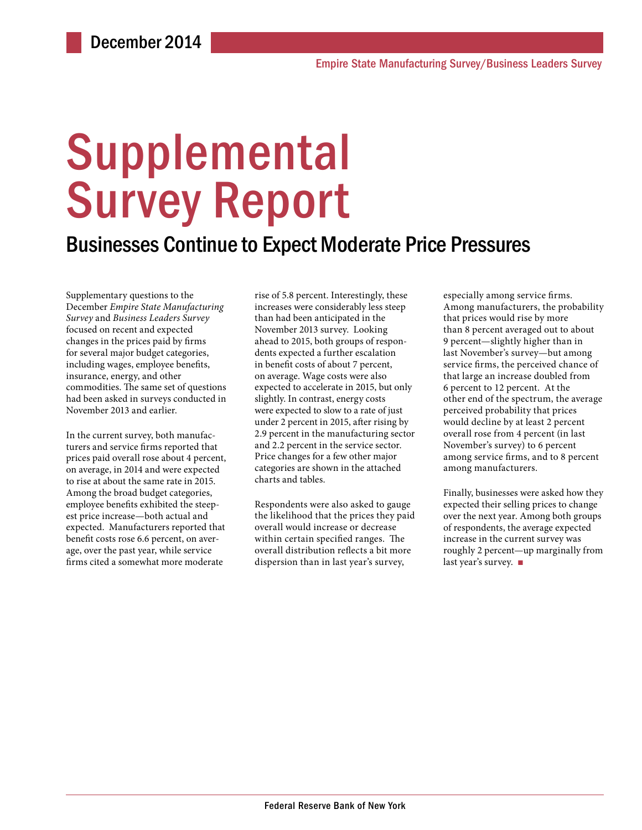# Supplemental Survey Report

### Businesses Continue to Expect Moderate Price Pressures

Supplementary questions to the December *Empire State Manufacturing Survey* and *Business Leaders Survey* focused on recent and expected changes in the prices paid by firms for several major budget categories, including wages, employee benefits, insurance, energy, and other commodities. The same set of questions had been asked in surveys conducted in November 2013 and earlier.

In the current survey, both manufacturers and service firms reported that prices paid overall rose about 4 percent, on average, in 2014 and were expected to rise at about the same rate in 2015. Among the broad budget categories, employee benefits exhibited the steepest price increase—both actual and expected. Manufacturers reported that benefit costs rose 6.6 percent, on average, over the past year, while service firms cited a somewhat more moderate

rise of 5.8 percent. Interestingly, these increases were considerably less steep than had been anticipated in the November 2013 survey. Looking ahead to 2015, both groups of respondents expected a further escalation in benefit costs of about 7 percent, on average. Wage costs were also expected to accelerate in 2015, but only slightly. In contrast, energy costs were expected to slow to a rate of just under 2 percent in 2015, after rising by 2.9 percent in the manufacturing sector and 2.2 percent in the service sector. Price changes for a few other major categories are shown in the attached charts and tables.

Respondents were also asked to gauge the likelihood that the prices they paid overall would increase or decrease within certain specified ranges. The overall distribution reflects a bit more dispersion than in last year's survey,

especially among service firms. Among manufacturers, the probability that prices would rise by more than 8 percent averaged out to about 9 percent—slightly higher than in last November's survey—but among service firms, the perceived chance of that large an increase doubled from 6 percent to 12 percent. At the other end of the spectrum, the average perceived probability that prices would decline by at least 2 percent overall rose from 4 percent (in last November's survey) to 6 percent among service firms, and to 8 percent among manufacturers.

Finally, businesses were asked how they expected their selling prices to change over the next year. Among both groups of respondents, the average expected increase in the current survey was roughly 2 percent—up marginally from last year's survey. ■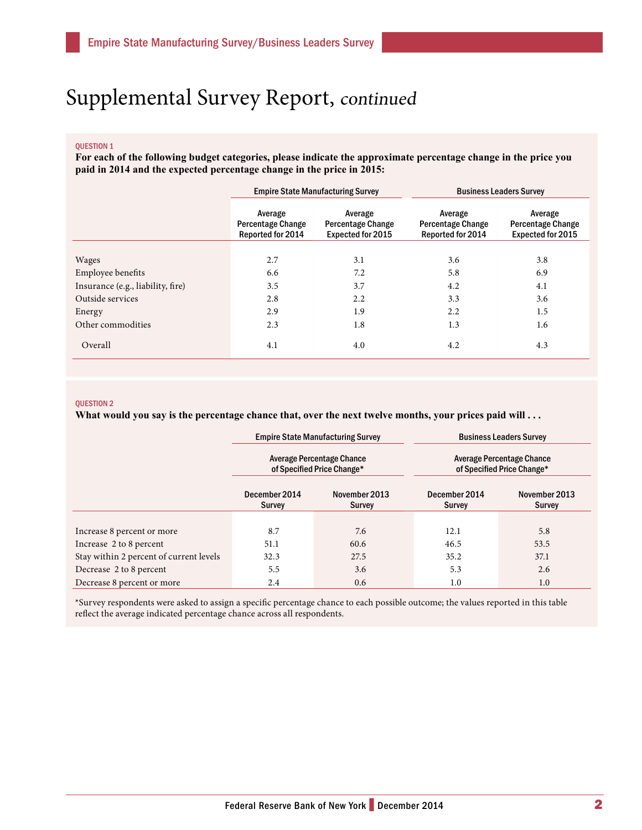## Supplemental Survey Report, continued

#### QUESTION 1

**For each of the following budget categories, please indicate the approximate percentage change in the price you paid in 2014 and the expected percentage change in the price in 2015:**

|                                   | <b>Empire State Manufacturing Survey</b>                        |                                                                 | <b>Business Leaders Survey</b>                           |                                                                 |
|-----------------------------------|-----------------------------------------------------------------|-----------------------------------------------------------------|----------------------------------------------------------|-----------------------------------------------------------------|
|                                   | Average<br><b>Percentage Change</b><br><b>Reported for 2014</b> | Average<br><b>Percentage Change</b><br><b>Expected for 2015</b> | Average<br><b>Percentage Change</b><br>Reported for 2014 | Average<br><b>Percentage Change</b><br><b>Expected for 2015</b> |
|                                   |                                                                 |                                                                 |                                                          |                                                                 |
| Wages                             | 2.7                                                             | 3.1                                                             | 3.6                                                      | 3.8                                                             |
| Employee benefits                 | 6.6                                                             | 7.2                                                             | 5.8                                                      | 6.9                                                             |
| Insurance (e.g., liability, fire) | 3.5                                                             | 3.7                                                             | 4.2                                                      | 4.1                                                             |
| Outside services                  | 2.8                                                             | 2.2                                                             | 3.3                                                      | 3.6                                                             |
| Energy                            | 2.9                                                             | 1.9                                                             | 2.2                                                      | 1.5                                                             |
| Other commodities                 | 2.3                                                             | 1.8                                                             | 1.3                                                      | 1.6                                                             |
| Overall                           | 4.1                                                             | 4.0                                                             | 4.2                                                      | 4.3                                                             |

#### QUESTION 2

What would you say is the percentage chance that, over the next twelve months, your prices paid will . . .

|                                         | <b>Empire State Manufacturing Survey</b><br>Average Percentage Chance<br>of Specified Price Change* |                         | <b>Business Leaders Survey</b><br>Average Percentage Chance<br>of Specified Price Change* |                                |
|-----------------------------------------|-----------------------------------------------------------------------------------------------------|-------------------------|-------------------------------------------------------------------------------------------|--------------------------------|
|                                         |                                                                                                     |                         |                                                                                           |                                |
|                                         | December 2014<br><b>Survey</b>                                                                      | November 2013<br>Survey | December 2014<br>Survey                                                                   | November 2013<br><b>Survey</b> |
|                                         |                                                                                                     |                         |                                                                                           |                                |
| Increase 8 percent or more              | 8.7                                                                                                 | 7.6                     | 12.1                                                                                      | 5.8                            |
| Increase 2 to 8 percent                 | 51.1                                                                                                | 60.6                    | 46.5                                                                                      | 53.5                           |
| Stay within 2 percent of current levels | 32.3                                                                                                | 27.5                    | 35.2                                                                                      | 37.1                           |
| Decrease 2 to 8 percent                 | 5.5                                                                                                 | 3.6                     | 5.3                                                                                       | 2.6                            |
| Decrease 8 percent or more              | 2.4                                                                                                 | 0.6                     | 1.0                                                                                       | 1.0                            |

\*Survey respondents were asked to assign a specific percentage chance to each possible outcome; the values reported in this table reflect the average indicated percentage chance across all respondents.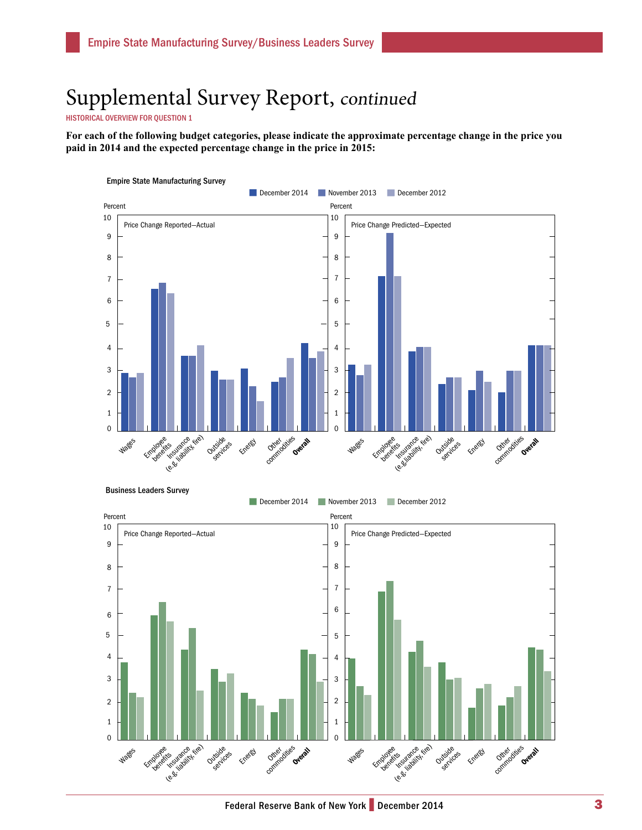## Supplemental Survey Report, continued

HISTORICAL OVERVIEW FOR QUESTION 1

**For each of the following budget categories, please indicate the approximate percentage change in the price you paid in 2014 and the expected percentage change in the price in 2015:**